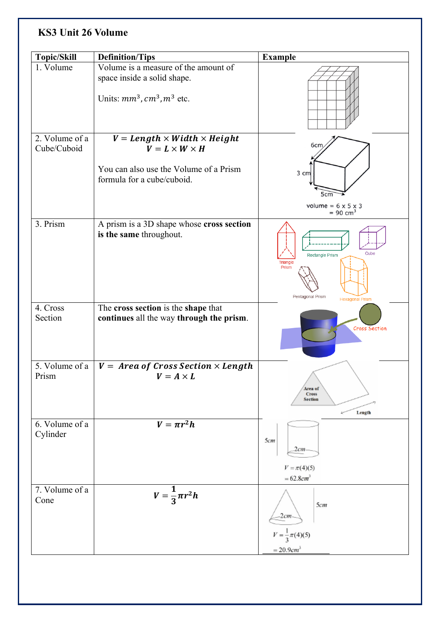## **KS3 Unit 26 Volume**

| Topic/Skill                   | <b>Definition/Tips</b>                                                          | <b>Example</b>                                           |
|-------------------------------|---------------------------------------------------------------------------------|----------------------------------------------------------|
| 1. Volume                     | Volume is a measure of the amount of                                            |                                                          |
|                               | space inside a solid shape.<br>Units: $mm^3$ , $cm^3$ , $m^3$ etc.              |                                                          |
|                               |                                                                                 |                                                          |
| 2. Volume of a<br>Cube/Cuboid | $V = Length \times Width \times Height$<br>$V = L \times W \times H$            | 6cm                                                      |
|                               | You can also use the Volume of a Prism<br>formula for a cube/cuboid.            | 3 cm<br>5cm                                              |
|                               |                                                                                 | volume = $6 \times 5 \times 3$<br>$= 90$ cm <sup>3</sup> |
| 3. Prism                      | A prism is a 3D shape whose cross section<br>is the same throughout.            | Cube<br><b>Rectangle Prism</b><br>Triangle<br>Prism      |
|                               |                                                                                 | Pentagonal Prism<br><b>Hexagonal Prism</b>               |
| 4. Cross<br>Section           | The cross section is the shape that<br>continues all the way through the prism. | Cross Section                                            |
| 5. Volume of a<br>Prism       | $V = Area of Cross Section \times Length$<br>$V = A \times L$                   | Area of<br><b>Cross</b><br><b>Section</b><br>Length      |
| 6. Volume of a<br>Cylinder    | $V = \pi r^2 h$                                                                 | 5cm<br>2cm<br>$V = \pi(4)(5)$                            |
|                               |                                                                                 | $= 62.8$ cm <sup>3</sup>                                 |
| 7. Volume of a<br>Cone        | $V=\frac{1}{3}\pi r^2h$                                                         | 5cm<br>2cm                                               |
|                               |                                                                                 | $V = \frac{1}{3}\pi(4)(5)$                               |
|                               |                                                                                 | $= 20.9 cm^{3}$                                          |